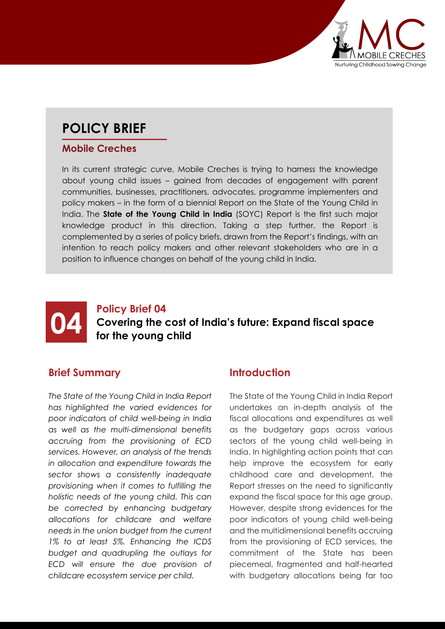

# **POLICY BRIEF**

#### **Mobile Creches**

In its current strategic curve, Mobile Creches is trying to harness the knowledge about young child issues – gained from decades of engagement with parent communities, businesses, practitioners, advocates, programme implementers and policy makers – in the form of a biennial Report on the State of the Young Child in India. The **State of the Young Child in India** (SOYC) Report is the first such major knowledge product in this direction. Taking a step further, the Report is complemented by a series of policy briefs, drawn from the Report's findings, with an intention to reach policy makers and other relevant stakeholders who are in a position to influence changes on behalf of the young child in India.



## **04 Covering the form the vound Covering the cost of India's future: Expand fiscal space for the young child**

#### **Brief Summary**

*The State of the Young Child in India Report has highlighted the varied evidences for poor indicators of child well-being in India as well as the multi-dimensional benefits accruing from the provisioning of ECD services. However, an analysis of the trends in allocation and expenditure towards the sector shows a consistently inadequate provisioning when it comes to fulfilling the holistic needs of the young child. This can be corrected by enhancing budgetary allocations for childcare and welfare needs in the union budget from the current 1% to at least 5%. Enhancing the ICDS budget and quadrupling the outlays for ECD will ensure the due provision of childcare ecosystem service per child.*

#### **Introduction**

The State of the Young Child in India Report undertakes an in-depth analysis of the fiscal allocations and expenditures as well as the budgetary gaps across various sectors of the young child well-being in India. In highlighting action points that can help improve the ecosystem for early childhood care and development, the Report stresses on the need to significantly expand the fiscal space for this age group. However, despite strong evidences for the poor indicators of young child well-being and the multidimensional benefits accruing from the provisioning of ECD services, the commitment of the State has been piecemeal, fragmented and half-hearted with budgetary allocations being far too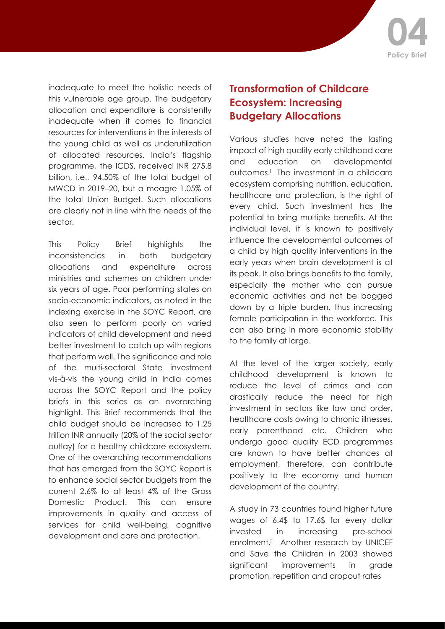

inadequate to meet the holistic needs of this vulnerable age group. The budgetary allocation and expenditure is consistently inadequate when it comes to financial resources for interventions in the interests of the young child as well as underutilization of allocated resources. India's flagship programme, the ICDS, received INR 275.8 billion, i.e., 94.50% of the total budget of MWCD in 2019–20, but a meagre 1.05% of the total Union Budget. Such allocations are clearly not in line with the needs of the sector.

This Policy Brief highlights the inconsistencies in both budgetary allocations and expenditure across ministries and schemes on children under six years of age. Poor performing states on socio-economic indicators, as noted in the indexing exercise in the SOYC Report, are also seen to perform poorly on varied indicators of child development and need better investment to catch up with regions that perform well. The significance and role of the multi-sectoral State investment vis-à-vis the young child in India comes across the SOYC Report and the policy briefs in this series as an overarching highlight. This Brief recommends that the child budget should be increased to 1.25 trillion INR annually (20% of the social sector outlay) for a healthy childcare ecosystem. One of the overarching recommendations that has emerged from the SOYC Report is to enhance social sector budgets from the current 2.6% to at least 4% of the Gross Domestic Product. This can ensure improvements in quality and access of services for child well-being, cognitive development and care and protection.

### **Transformation of Childcare Ecosystem: Increasing Budgetary Allocations**

Various studies have noted the lasting impact of high quality early childhood care and education on developmental outcomes.i The investment in a childcare ecosystem comprising nutrition, education, healthcare and protection, is the right of every child. Such investment has the potential to bring multiple benefits. At the individual level, it is known to positively influence the developmental outcomes of a child by high quality interventions in the early years when brain development is at its peak. It also brings benefits to the family, especially the mother who can pursue economic activities and not be bogged down by a triple burden, thus increasing female participation in the workforce. This can also bring in more economic stability to the family at large.

At the level of the larger society, early childhood development is known to reduce the level of crimes and can drastically reduce the need for high investment in sectors like law and order, healthcare costs owing to chronic illnesses, early parenthood etc. Children who undergo good quality ECD programmes are known to have better chances at employment, therefore, can contribute positively to the economy and human development of the country.

A study in 73 countries found higher future wages of 6.4\$ to 17.6\$ for every dollar invested in increasing pre-school enrolment.<sup>ii</sup> Another research by UNICEF and Save the Children in 2003 showed significant improvements in grade promotion, repetition and dropout rates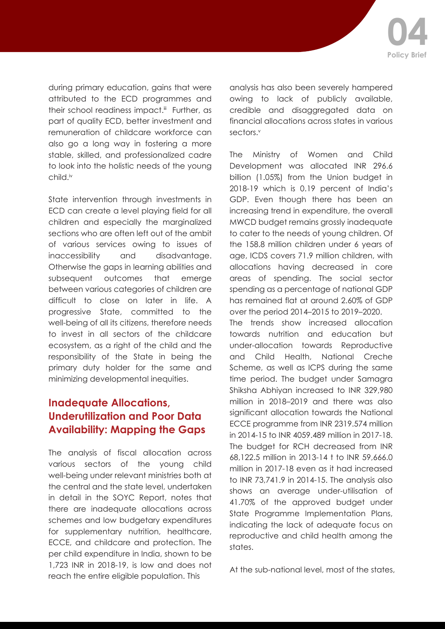during primary education, gains that were attributed to the ECD programmes and their school readiness impact.<sup>iii</sup> Further, as part of quality ECD, better investment and remuneration of childcare workforce can also go a long way in fostering a more stable, skilled, and professionalized cadre to look into the holistic needs of the young child.iv

State intervention through investments in ECD can create a level playing field for all children and especially the marginalized sections who are often left out of the ambit of various services owing to issues of inaccessibility and disadvantage. Otherwise the gaps in learning abilities and subsequent outcomes that emerge between various categories of children are difficult to close on later in life. A progressive State, committed to the well-being of all its citizens, therefore needs to invest in all sectors of the childcare ecosystem, as a right of the child and the responsibility of the State in being the primary duty holder for the same and minimizing developmental inequities.

## **Inadequate Allocations, Underutilization and Poor Data Availability: Mapping the Gaps**

The analysis of fiscal allocation across various sectors of the young child well-being under relevant ministries both at the central and the state level, undertaken in detail in the SOYC Report, notes that there are inadequate allocations across schemes and low budgetary expenditures for supplementary nutrition, healthcare, ECCE, and childcare and protection. The per child expenditure in India, shown to be 1,723 INR in 2018-19, is low and does not reach the entire eligible population. This

analysis has also been severely hampered owing to lack of publicly available, credible and disaggregated data on financial allocations across states in various sectors.<sup>v</sup>

The Ministry of Women and Child Development was allocated INR 296.6 billion (1.05%) from the Union budget in 2018-19 which is 0.19 percent of India's GDP. Even though there has been an increasing trend in expenditure, the overall MWCD budget remains grossly inadequate to cater to the needs of young children. Of the 158.8 million children under 6 years of age, ICDS covers 71.9 million children, with allocations having decreased in core areas of spending. The social sector spending as a percentage of national GDP has remained flat at around 2.60% of GDP over the period 2014–2015 to 2019–2020.

The trends show increased allocation towards nutrition and education but under-allocation towards Reproductive and Child Health, National Creche Scheme, as well as ICPS during the same time period. The budget under Samagra Shiksha Abhiyan increased to INR 329,980 million in 2018–2019 and there was also significant allocation towards the National ECCE programme from INR 2319.574 million in 2014-15 to INR 4059.489 million in 2017-18. The budget for RCH decreased from INR 68,122.5 million in 2013-14 t to INR 59,666.0 million in 2017-18 even as it had increased to INR 73,741.9 in 2014-15. The analysis also shows an average under-utilisation of 41.70% of the approved budget under State Programme Implementation Plans, indicating the lack of adequate focus on reproductive and child health among the states.

At the sub-national level, most of the states,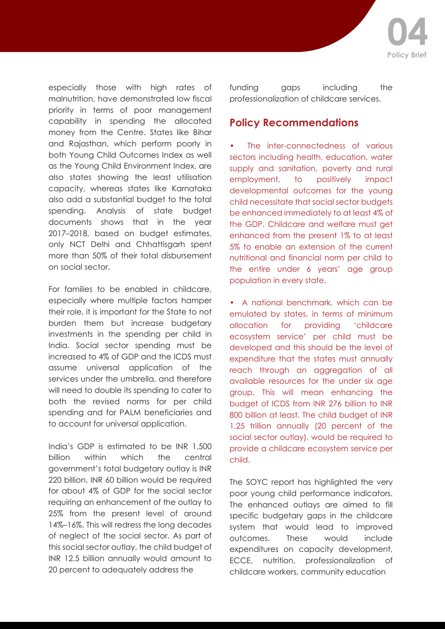

especially those with high rates of malnutrition, have demonstrated low fiscal priority in terms of poor management capability in spending the allocated money from the Centre. States like Bihar and Rajasthan, which perform poorly in both Young Child Outcomes Index as well as the Young Child Environment Index, are also states showing the least utilisation capacity, whereas states like Karnataka also add a substantial budget to the total spending. Analysis of state budget documents shows that in the year 2017–2018, based on budget estimates, only NCT Delhi and Chhattisgarh spent more than 50% of their total disbursement on social sector.

For families to be enabled in childcare, especially where multiple factors hamper their role, it is important for the State to not burden them but increase budgetary investments in the spending per child in India. Social sector spending must be increased to 4% of GDP and the ICDS must assume universal application of the services under the umbrella, and therefore will need to double its spending to cater to both the revised norms for per child spending and for PALM beneficiaries and to account for universal application.

India's GDP is estimated to be INR 1,500 billion within which the central government's total budgetary outlay is INR 220 billion. INR 60 billion would be required for about 4% of GDP for the social sector requiring an enhancement of the outlay to 25% from the present level of around 14%–16%. This will redress the long decades of neglect of the social sector. As part of this social sector outlay, the child budget of INR 12.5 billion annually would amount to 20 percent to adequately address the

funding gaps including the professionalization of childcare services.

#### **Policy Recommendations**

The inter-connectedness of various sectors including health, education, water supply and sanitation, poverty and rural employment, to positively impact developmental outcomes for the young child necessitate that social sector budgets be enhanced immediately to at least 4% of the GDP. Childcare and welfare must get enhanced from the present 1% to at least 5% to enable an extension of the current nutritional and financial norm per child to the entire under 6 years' age group population in every state.

• A national benchmark, which can be emulated by states, in terms of minimum allocation for providing 'childcare ecosystem service' per child must be developed and this should be the level of expenditure that the states must annually reach through an aggregation of all available resources for the under six age group. This will mean enhancing the budget of ICDS from INR 276 billion to INR 800 billion at least. The child budget of INR 1.25 trillion annually (20 percent of the social sector outlay), would be required to provide a childcare ecosystem service per child.

The SOYC report has highlighted the very poor young child performance indicators. The enhanced outlays are aimed to fill specific budgetary gaps in the childcare system that would lead to improved outcomes. These would include expenditures on capacity development, ECCE, nutrition, professionalization of childcare workers, community education